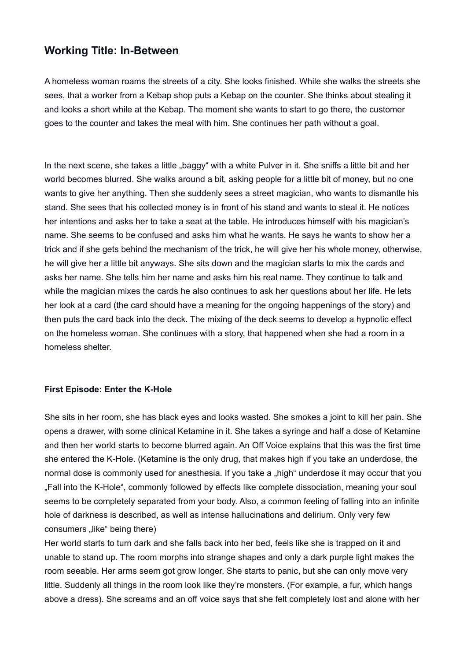# **Working Title: In-Between**

A homeless woman roams the streets of a city. She looks finished. While she walks the streets she sees, that a worker from a Kebap shop puts a Kebap on the counter. She thinks about stealing it and looks a short while at the Kebap. The moment she wants to start to go there, the customer goes to the counter and takes the meal with him. She continues her path without a goal.

In the next scene, she takes a little "baggy" with a white Pulver in it. She sniffs a little bit and her world becomes blurred. She walks around a bit, asking people for a little bit of money, but no one wants to give her anything. Then she suddenly sees a street magician, who wants to dismantle his stand. She sees that his collected money is in front of his stand and wants to steal it. He notices her intentions and asks her to take a seat at the table. He introduces himself with his magician's name. She seems to be confused and asks him what he wants. He says he wants to show her a trick and if she gets behind the mechanism of the trick, he will give her his whole money, otherwise, he will give her a little bit anyways. She sits down and the magician starts to mix the cards and asks her name. She tells him her name and asks him his real name. They continue to talk and while the magician mixes the cards he also continues to ask her questions about her life. He lets her look at a card (the card should have a meaning for the ongoing happenings of the story) and then puts the card back into the deck. The mixing of the deck seems to develop a hypnotic effect on the homeless woman. She continues with a story, that happened when she had a room in a homeless shelter.

## **First Episode: Enter the K-Hole**

She sits in her room, she has black eyes and looks wasted. She smokes a joint to kill her pain. She opens a drawer, with some clinical Ketamine in it. She takes a syringe and half a dose of Ketamine and then her world starts to become blurred again. An Off Voice explains that this was the first time she entered the K-Hole. (Ketamine is the only drug, that makes high if you take an underdose, the normal dose is commonly used for anesthesia. If you take a "high" underdose it may occur that you "Fall into the K-Hole", commonly followed by effects like complete dissociation, meaning your soul seems to be completely separated from your body. Also, a common feeling of falling into an infinite hole of darkness is described, as well as intense hallucinations and delirium. Only very few consumers "like" being there)

Her world starts to turn dark and she falls back into her bed, feels like she is trapped on it and unable to stand up. The room morphs into strange shapes and only a dark purple light makes the room seeable. Her arms seem got grow longer. She starts to panic, but she can only move very little. Suddenly all things in the room look like they're monsters. (For example, a fur, which hangs above a dress). She screams and an off voice says that she felt completely lost and alone with her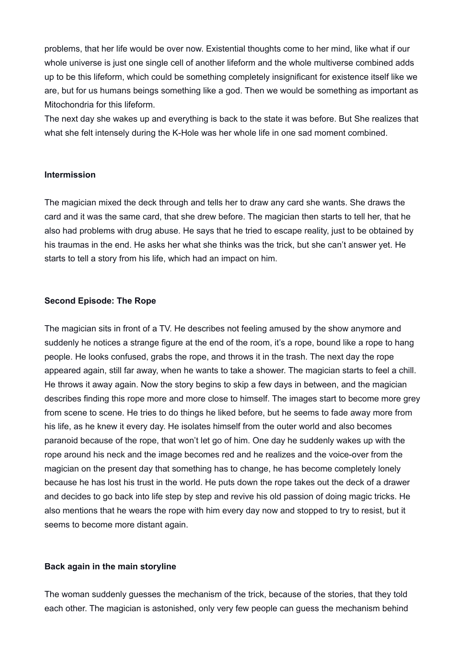problems, that her life would be over now. Existential thoughts come to her mind, like what if our whole universe is just one single cell of another lifeform and the whole multiverse combined adds up to be this lifeform, which could be something completely insignificant for existence itself like we are, but for us humans beings something like a god. Then we would be something as important as Mitochondria for this lifeform.

The next day she wakes up and everything is back to the state it was before. But She realizes that what she felt intensely during the K-Hole was her whole life in one sad moment combined.

### **Intermission**

The magician mixed the deck through and tells her to draw any card she wants. She draws the card and it was the same card, that she drew before. The magician then starts to tell her, that he also had problems with drug abuse. He says that he tried to escape reality, just to be obtained by his traumas in the end. He asks her what she thinks was the trick, but she can't answer yet. He starts to tell a story from his life, which had an impact on him.

### **Second Episode: The Rope**

The magician sits in front of a TV. He describes not feeling amused by the show anymore and suddenly he notices a strange figure at the end of the room, it's a rope, bound like a rope to hang people. He looks confused, grabs the rope, and throws it in the trash. The next day the rope appeared again, still far away, when he wants to take a shower. The magician starts to feel a chill. He throws it away again. Now the story begins to skip a few days in between, and the magician describes finding this rope more and more close to himself. The images start to become more grey from scene to scene. He tries to do things he liked before, but he seems to fade away more from his life, as he knew it every day. He isolates himself from the outer world and also becomes paranoid because of the rope, that won't let go of him. One day he suddenly wakes up with the rope around his neck and the image becomes red and he realizes and the voice-over from the magician on the present day that something has to change, he has become completely lonely because he has lost his trust in the world. He puts down the rope takes out the deck of a drawer and decides to go back into life step by step and revive his old passion of doing magic tricks. He also mentions that he wears the rope with him every day now and stopped to try to resist, but it seems to become more distant again.

#### **Back again in the main storyline**

The woman suddenly guesses the mechanism of the trick, because of the stories, that they told each other. The magician is astonished, only very few people can guess the mechanism behind